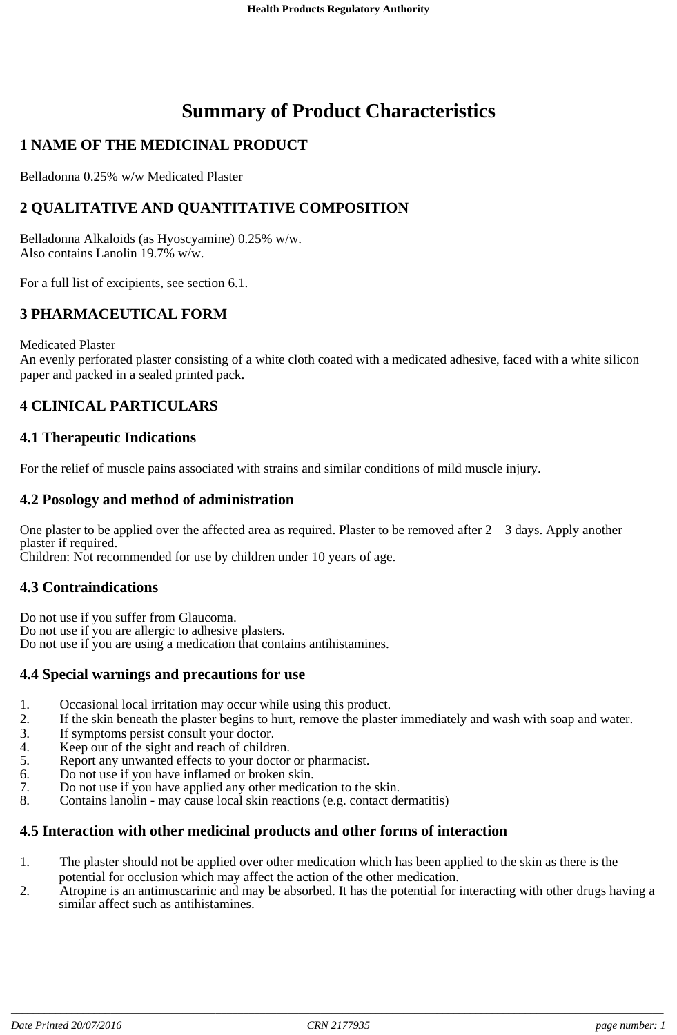# **Summary of Product Characteristics**

### **1 NAME OF THE MEDICINAL PRODUCT**

Belladonna 0.25% w/w Medicated Plaster

### **2 QUALITATIVE AND QUANTITATIVE COMPOSITION**

Belladonna Alkaloids (as Hyoscyamine) 0.25% w/w. Also contains Lanolin 19.7% w/w.

For a full list of excipients, see section 6.1.

### **3 PHARMACEUTICAL FORM**

Medicated Plaster

An evenly perforated plaster consisting of a white cloth coated with a medicated adhesive, faced with a white silicon paper and packed in a sealed printed pack.

### **4 CLINICAL PARTICULARS**

#### **4.1 Therapeutic Indications**

For the relief of muscle pains associated with strains and similar conditions of mild muscle injury.

#### **4.2 Posology and method of administration**

One plaster to be applied over the affected area as required. Plaster to be removed after  $2 - 3$  days. Apply another plaster if required.

Children: Not recommended for use by children under 10 years of age.

#### **4.3 Contraindications**

Do not use if you suffer from Glaucoma. Do not use if you are allergic to adhesive plasters. Do not use if you are using a medication that contains antihistamines.

#### **4.4 Special warnings and precautions for use**

- 1. Occasional local irritation may occur while using this product.<br>2. If the skin beneath the plaster begins to hurt, remove the plaste
- If the skin beneath the plaster begins to hurt, remove the plaster immediately and wash with soap and water.
- 3. If symptoms persist consult your doctor.
- 4. Keep out of the sight and reach of children.
- 5. Report any unwanted effects to your doctor or pharmacist.
- 6. Do not use if you have inflamed or broken skin.
- 7. Do not use if you have applied any other medication to the skin.<br>8. Contains lanolin may cause local skin reactions (e.g. contact de
- Contains lanolin may cause local skin reactions (e.g. contact dermatitis)

#### **4.5 Interaction with other medicinal products and other forms of interaction**

- 1. The plaster should not be applied over other medication which has been applied to the skin as there is the potential for occlusion which may affect the action of the other medication.
- 2. Atropine is an antimuscarinic and may be absorbed. It has the potential for interacting with other drugs having a similar affect such as antihistamines.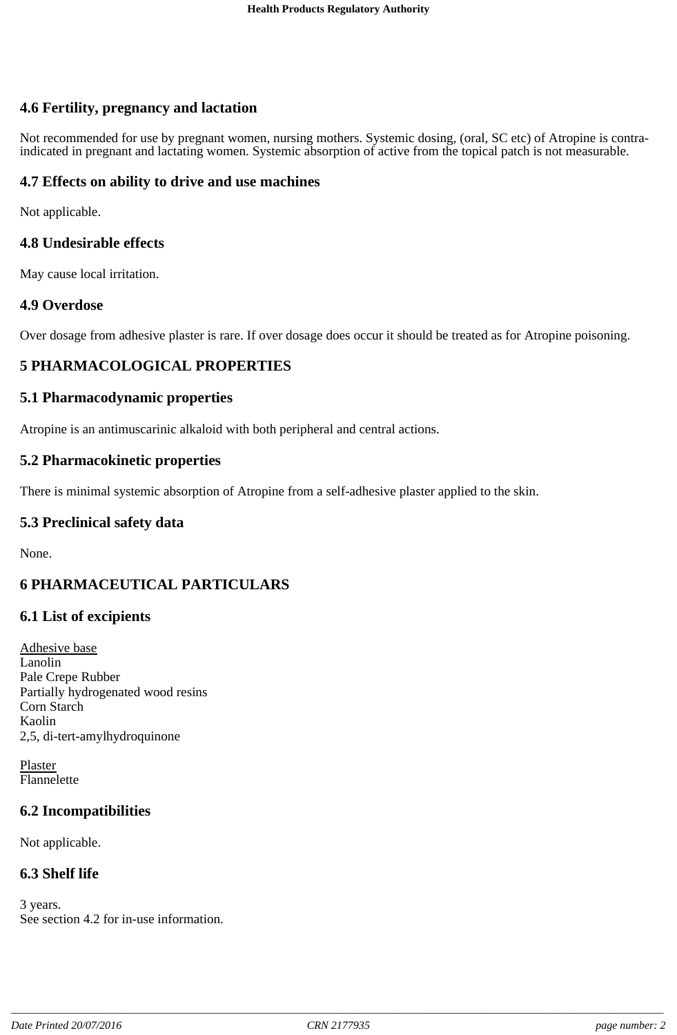### **4.6 Fertility, pregnancy and lactation**

Not recommended for use by pregnant women, nursing mothers. Systemic dosing, (oral, SC etc) of Atropine is contra-<br>indicated in pregnant and lactating women. Systemic absorption of active from the topical patch is not meas

#### **4.7 Effects on ability to drive and use machines**

Not applicable.

#### **4.8 Undesirable effects**

May cause local irritation.

#### **4.9 Overdose**

Over dosage from adhesive plaster is rare. If over dosage does occur it should be treated as for Atropine poisoning.

### **5 PHARMACOLOGICAL PROPERTIES**

#### **5.1 Pharmacodynamic properties**

Atropine is an antimuscarinic alkaloid with both peripheral and central actions.

#### **5.2 Pharmacokinetic properties**

There is minimal systemic absorption of Atropine from a self-adhesive plaster applied to the skin.

#### **5.3 Preclinical safety data**

None.

### **6 PHARMACEUTICAL PARTICULARS**

### **6.1 List of excipients**

Adhesive base Lanolin Pale Crepe Rubber Partially hydrogenated wood resins Corn Starch Kaolin 2,5, di-tert-amylhydroquinone

Plaster Flannelette

### **6.2 Incompatibilities**

Not applicable.

### **6.3 Shelf life**

3 years. See section 4.2 for in-use information.